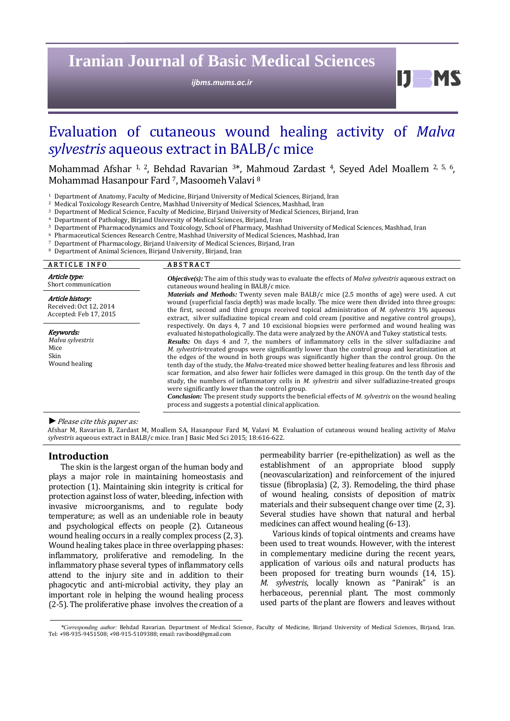**Iranian Journal of Basic Medical Sciences** 

*ijbms.mums.ac.ir*

**bl M** 

# Evaluation of cutaneous wound healing activity of *Malva sylvestris* aqueous extract in BALB/c mice

Mohammad Afshar <sup>1, 2</sup>, Behdad Ravarian  $3*$ , Mahmoud Zardast <sup>4</sup>, Seyed Adel Moallem  $2, 5, 6$ , Mohammad Hasanpour Fard<sup>7</sup>, Masoomeh Valavi<sup>8</sup>

<sup>1</sup> Department of Anatomy, Faculty of Medicine, Birjand University of Medical Sciences, Birjand, Iran

<sup>2</sup> Medical Toxicology Research Centre, Mashhad University of Medical Sciences, Mashhad, Iran

Department of Medical Science, Faculty of Medicine, Birjand University of Medical Sciences, Birjand, Iran

Department of Pathology, Birjand University of Medical Sciences, Birjand, Iran

5 Department of Pharmacodynamics and Toxicology, School of Pharmacy, Mashhad University of Medical Sciences, Mashhad, Iran

Pharmaceutical Sciences Research Centre, Mashhad University of Medical Sciences, Mashhad, Iran

- $7$  Department of Pharmacology, Birjand University of Medical Sciences, Birjand, Iran 8.<br>
Benartment of Animal Sciences, Birjand University, Birjand, Iran
- Department of Animal Sciences, Birjand University, Birjand, Iran

| <b>ARTICLE INFO</b>                                                  | <b>ABSTRACT</b>                                                                                                                                                                                                                                                                                                                                                                                                                                                                                                                                                                                                                                                                                                                                                                                                                                                                                                                                                                                                                                                             |
|----------------------------------------------------------------------|-----------------------------------------------------------------------------------------------------------------------------------------------------------------------------------------------------------------------------------------------------------------------------------------------------------------------------------------------------------------------------------------------------------------------------------------------------------------------------------------------------------------------------------------------------------------------------------------------------------------------------------------------------------------------------------------------------------------------------------------------------------------------------------------------------------------------------------------------------------------------------------------------------------------------------------------------------------------------------------------------------------------------------------------------------------------------------|
| Article type:<br>Short communication                                 | <b><i>Objective(s)</i></b> : The aim of this study was to evaluate the effects of <i>Malva sylvestris</i> aqueous extract on<br>cutaneous wound healing in BALB/c mice.                                                                                                                                                                                                                                                                                                                                                                                                                                                                                                                                                                                                                                                                                                                                                                                                                                                                                                     |
| Article history:<br>Received: Oct 12, 2014<br>Accepted: Feb 17, 2015 | <i>Materials and Methods:</i> Twenty seven male BALB/c mice (2.5 months of age) were used. A cut<br>wound (superficial fascia depth) was made locally. The mice were then divided into three groups:<br>the first, second and third groups received topical administration of <i>M. sylvestris</i> 1% aqueous<br>extract, silver sulfadiazine topical cream and cold cream (positive and negative control groups),                                                                                                                                                                                                                                                                                                                                                                                                                                                                                                                                                                                                                                                          |
| Keywords:<br>Malva sylvestris<br>Mice<br>Skin<br>Wound healing       | respectively. On days 4, 7 and 10 excisional biopsies were performed and wound healing was<br>evaluated histopathologically. The data were analyzed by the ANOVA and Tukey statistical tests.<br><b>Results:</b> On days 4 and 7, the numbers of inflammatory cells in the silver sulfadiazine and<br>M. sylvestris-treated groups were significantly lower than the control group and keratinization at<br>the edges of the wound in both groups was significantly higher than the control group. On the<br>tenth day of the study, the <i>Malva</i> -treated mice showed better healing features and less fibrosis and<br>scar formation, and also fewer hair follicles were damaged in this group. On the tenth day of the<br>study, the numbers of inflammatory cells in <i>M. sylvestris</i> and silver sulfadiazine-treated groups<br>were significantly lower than the control group.<br><b>Conclusion:</b> The present study supports the beneficial effects of <i>M. sylvestris</i> on the wound healing<br>process and suggests a potential clinical application. |

#### ▶ Please cite this paper as:

Afshar M, Ravarian B, Zardast M, Moallem SA, Hasanpour Fard M, Valavi M. Evaluation of cutaneous wound healing activity of Malva *sylvestris* aqueous extract in BALB/c mice. Iran J Basic Med Sci 2015; 18:616-622.

# **Introduction**

The skin is the largest organ of the human body and plays a major role in maintaining homeostasis and protection (1). Maintaining skin integrity is critical for protection against loss of water, bleeding, infection with invasive microorganisms, and to regulate body temperature; as well as an undeniable role in beauty and psychological effects on people (2). Cutaneous wound healing occurs in a really complex process (2, 3). Wound healing takes place in three overlapping phases: inflammatory, proliferative and remodeling. In the inflammatory phase several types of inflammatory cells attend to the injury site and in addition to their phagocytic and anti-microbial activity, they play an important role in helping the wound healing process  $(2-5)$ . The proliferative phase involves the creation of a permeability barrier (re-epithelization) as well as the establishment of an appropriate blood supply (neovascularization) and reinforcement of the injured tissue (fibroplasia)  $(2, 3)$ . Remodeling, the third phase of wound healing, consists of deposition of matrix materials and their subsequent change over time (2, 3). Several studies have shown that natural and herbal medicines can affect wound healing (6-13).

Various kinds of topical ointments and creams have been used to treat wounds. However, with the interest in complementary medicine during the recent years, application of various oils and natural products has been proposed for treating burn wounds (14, 15). *M. sylvestris*, locally known as "Panirak" is an herbaceous, perennial plant. The most commonly used parts of the plant are flowers and leaves without

<sup>\*</sup>Corresponding author: Behdad Ravarian. Department of Medical Science, Faculty of Medicine, Birjand University of Medical Sciences, Birjand, Iran. Tel: +98-935-9451508; +98-915-5109388; email: ravibood@gmail.com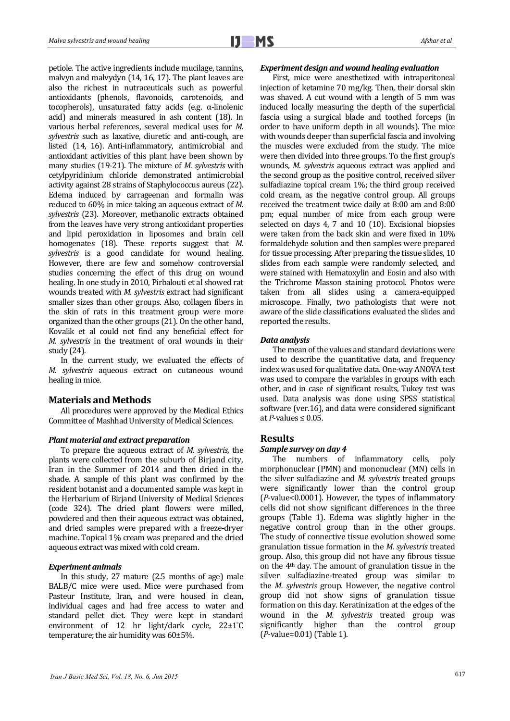petiole. The active ingredients include mucilage, tannins, malvyn and malvydyn  $(14, 16, 17)$ . The plant leaves are also the richest in nutraceuticals such as powerful antioxidants (phenols, flavonoids, carotenoids, and tocopherols), unsaturated fatty acids (e.g.  $\alpha$ -linolenic acid) and minerals measured in ash content (18). In various herbal references, several medical uses for *M*. *sylvestris* such as laxative, diuretic and anti-cough, are listed (14, 16). Anti-inflammatory, antimicrobial and antioxidant activities of this plant have been shown by many studies (19-21). The mixture of *M. sylvestris* with cetylpyridinium chloride demonstrated antimicrobial activity against 28 strains of Staphylococcus aureus (22). Edema induced by carrageenan and formalin was reduced to 60% in mice taking an aqueous extract of *M*. *sylvestris* (23). Moreover, methanolic extracts obtained from the leaves have very strong antioxidant properties and lipid peroxidation in liposomes and brain cell homogenates (18). These reports suggest that *M*. *sylvestris* is a good candidate for wound healing. However, there are few and somehow controversial studies concerning the effect of this drug on wound healing. In one study in 2010, Pirbalouti et al showed rat wounds treated with *M. sylvestris* extract had significant smaller sizes than other groups. Also, collagen fibers in the skin of rats in this treatment group were more organized than the other groups (21). On the other hand, Kovalik et al could not find any beneficial effect for *M. sylvestris* in the treatment of oral wounds in their study  $(24)$ .

In the current study, we evaluated the effects of *M. sylvestris* aqueous extract on cutaneous wound healing in mice.

## **Materials and Methods**

All procedures were approved by the Medical Ethics Committee of Mashhad University of Medical Sciences.

### *Plant material and extract preparation*

To prepare the aqueous extract of *M. sylvestris*, the plants were collected from the suburb of Birjand city, Iran in the Summer of 2014 and then dried in the shade. A sample of this plant was confirmed by the resident botanist and a documented sample was kept in the Herbarium of Birjand University of Medical Sciences (code 324). The dried plant flowers were milled, powdered and then their aqueous extract was obtained, and dried samples were prepared with a freeze-dryer machine. Topical 1% cream was prepared and the dried aqueous extract was mixed with cold cream.

## *Experiment animals*

In this study,  $27$  mature  $(2.5 \text{ months of age})$  male BALB/C mice were used. Mice were purchased from Pasteur Institute, Iran, and were housed in clean, individual cages and had free access to water and standard pellet diet. They were kept in standard environment of 12 hr light/dark cycle, 22±1°C temperature; the air humidity was  $60\pm5\%$ .

## *Experiment design and wound healing evaluation*

First, mice were anesthetized with intraperitoneal injection of ketamine 70 mg/kg. Then, their dorsal skin was shaved. A cut wound with a length of 5 mm was induced locally measuring the depth of the superficial fascia using a surgical blade and toothed forceps (in order to have uniform depth in all wounds). The mice with wounds deeper than superficial fascia and involving the muscles were excluded from the study. The mice were then divided into three groups. To the first group's wounds, *M. sylvestris* aqueous extract was applied and the second group as the positive control, received silver sulfadiazine topical cream 1%; the third group received cold cream, as the negative control group. All groups received the treatment twice daily at 8:00 am and 8:00 pm; equal number of mice from each group were selected on days 4, 7 and 10 (10). Excisional biopsies were taken from the back skin and were fixed in  $10\%$ formaldehyde solution and then samples were prepared for tissue processing. After preparing the tissue slides, 10 slides from each sample were randomly selected, and were stained with Hematoxylin and Eosin and also with the Trichrome Masson staining protocol. Photos were taken from all slides using a camera-equipped microscope. Finally, two pathologists that were not aware of the slide classifications evaluated the slides and reported the results.

### *Data analysis*

The mean of the values and standard deviations were used to describe the quantitative data, and frequency index was used for qualitative data. One-way ANOVA test was used to compare the variables in groups with each other, and in case of significant results, Tukey test was used. Data analysis was done using SPSS statistical software (ver.16), and data were considered significant at  $P$ -values  $\leq 0.05$ .

# **Results**

### *Sample survey on day 4*

The numbers of inflammatory cells, poly morphonuclear (PMN) and mononuclear (MN) cells in the silver sulfadiazine and *M. sylvestris* treated groups were significantly lower than the control group (*P*-value<0.0001). However, the types of inflammatory cells did not show significant differences in the three groups (Table 1). Edema was slightly higher in the negative control group than in the other groups. The study of connective tissue evolution showed some granulation tissue formation in the *M. sylvestris* treated group. Also, this group did not have any fibrous tissue on the  $4<sup>th</sup>$  day. The amount of granulation tissue in the silver sulfadiazine-treated group was similar to the *M. sylvestris* group. However, the negative control group did not show signs of granulation tissue formation on this day. Keratinization at the edges of the wound in the *M. sylvestris* treated group was significantly higher than the control group (*P*‐value=0.01) (Table 1).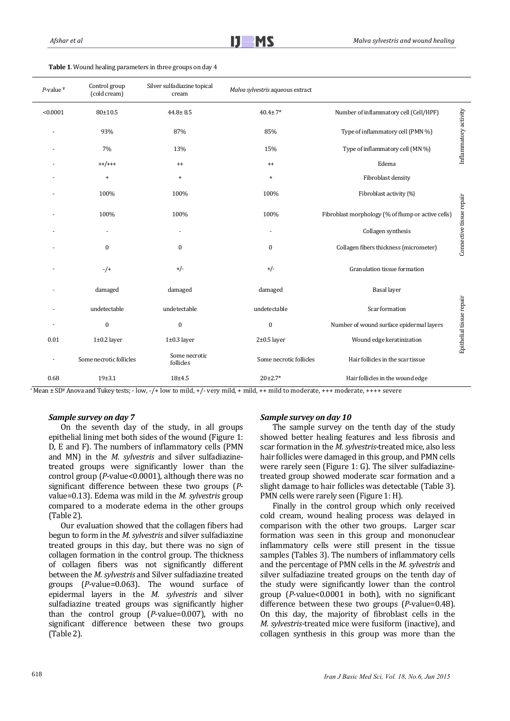| $P$ -value <sup>¥</sup> | Control group<br>(cold cream) | Silver sulfadiazine topical<br>cream | Malva sylvestris aqueous extract |                                                    |                          |
|-------------------------|-------------------------------|--------------------------------------|----------------------------------|----------------------------------------------------|--------------------------|
| < 0.0001                | $80 + 10.5$                   | $44.8 \pm 8.5$                       | $40.4 \pm 7*$                    | Number of inflammatory cell (Cell/HPF)             |                          |
|                         | 93%                           | 87%                                  | 85%                              | Type of inflammatory cell (PMN %)                  | Inflammatory activity    |
|                         | 7%                            | 13%                                  | 15%                              | Type of inflammatory cell (MN %)                   |                          |
|                         | $++/++$                       | $^{++}$                              | $^{++}$                          | Edema                                              |                          |
|                         | $\ddot{}$                     | $\ddot{}$                            | $\ddot{}$                        | Fibroblast density                                 |                          |
|                         | 100%                          | 100%                                 | 100%                             | Fibroblast activity (%)                            |                          |
|                         | 100%                          | 100%                                 | 100%                             | Fibroblast morphology (% of flump or active cells) | Connective tissue repair |
|                         | ٠                             | $\overline{\phantom{a}}$             | ٠                                | Collagen synthesis                                 |                          |
|                         | $\boldsymbol{0}$              | $\mathbf{0}$                         | $\bf{0}$                         | Collagen fibers thickness (micrometer)             |                          |
|                         | $-$ /+                        | $+/-$                                | $+/-$                            | Granulation tissue formation                       |                          |
|                         | damaged                       | damaged                              | damaged                          | <b>Basal</b> layer                                 |                          |
|                         | undetectable                  | undetectable                         | undetectable                     | Scar formation                                     | Epithelial tissue repair |
|                         | $\boldsymbol{0}$              | $\boldsymbol{0}$                     | $\boldsymbol{0}$                 | Number of wound surface epidermal layers           |                          |
| 0.01                    | $1\pm0.2$ layer               | $1\pm0.3$ layer                      | $2\pm0.5$ layer                  | Wound edge keratinization                          |                          |
| $\overline{a}$          | Some necrotic follicles       | Some necrotic<br>follicles           | Some necrotic follicles          | Hair follicles in the scar tissue                  |                          |
| 0.68                    | $19 + 3.1$                    | $18 + 4.5$                           | $20\pm2.7*$                      | Hair follicles in the wound edge                   |                          |

Table 1. Wound healing parameters in three groups on day 4

\*Mean ± SD\* Anova and Tukey tests; - low, -/+ low to mild, +/- very mild, + mild, + + mild to moderate, +++ moderate, ++++ severe

## *Sample survey on day 7*

On the seventh day of the study, in all groups epithelial lining met both sides of the wound (Figure 1: D, E and F). The numbers of inflammatory cells (PMN and MN) in the *M. sylvestris* and silver sulfadiazinetreated groups were significantly lower than the control group  $(P$ -value< $0.0001$ ), although there was no significant difference between these two groups (*P*value=0.13). Edema was mild in the *M. sylvestris* group compared to a moderate edema in the other groups  $(Table 2).$ 

Our evaluation showed that the collagen fibers had begun to form in the *M. sylvestris* and silver sulfadiazine treated groups in this day, but there was no sign of collagen formation in the control group. The thickness of collagen fibers was not significantly different between the *M. sylvestris* and Silver sulfadiazine treated groups (P-value=0.063). The wound surface of epidermal layers in the *M. sylvestris* and silver sulfadiazine treated groups was significantly higher than the control group (*P*-value=0.007), with no significant difference between these two groups  $(Table 2)$ .

# *Sample survey on day 10*

The sample survey on the tenth day of the study showed better healing features and less fibrosis and scar formation in the *M. sylvestris*-treated mice, also less hair follicles were damaged in this group, and PMN cells were rarely seen (Figure 1: G). The silver sulfadiazinetreated group showed moderate scar formation and a slight damage to hair follicles was detectable (Table 3). PMN cells were rarely seen (Figure 1: H).

Finally in the control group which only received cold cream, wound healing process was delayed in comparison with the other two groups. Larger scar formation was seen in this group and mononuclear inflammatory cells were still present in the tissue samples (Tables 3). The numbers of inflammatory cells and the percentage of PMN cells in the *M. sylvestris* and silver sulfadiazine treated groups on the tenth day of the study were significantly lower than the control group  $(P$ -value< $0.0001$  in both), with no significant difference between these two groups (*P*-value=0.48). On this day, the majority of fibroblast cells in the *M. sylvestris*-treated mice were fusiform (inactive), and collagen synthesis in this group was more than the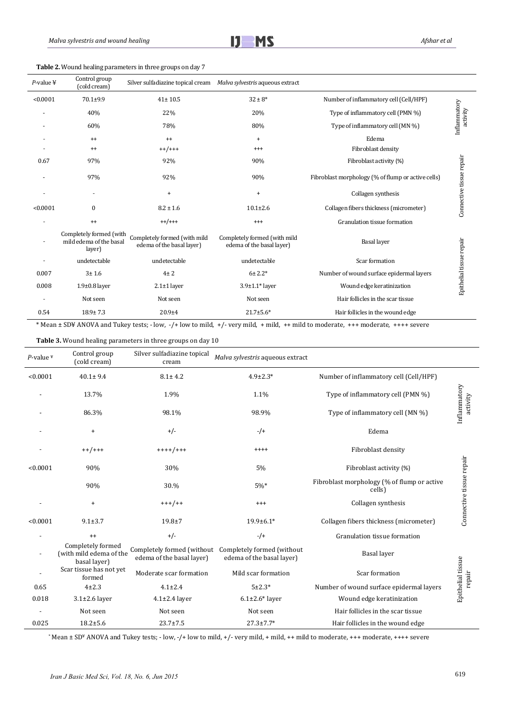

Table 2. Wound healing parameters in three groups on day 7

| $P$ -value ¥ | Control group<br>(cold cream)                                | Silver sulfadiazine topical cream                         | Malva sylvestris aqueous extract                          |                                                    |                          |
|--------------|--------------------------------------------------------------|-----------------------------------------------------------|-----------------------------------------------------------|----------------------------------------------------|--------------------------|
| < 0.0001     | $70.1 + 9.9$                                                 | $41 \pm 10.5$                                             | $32 \pm 8^*$                                              | Number of inflammatory cell (Cell/HPF)             |                          |
|              | 40%                                                          | 22%                                                       | 20%                                                       | Type of inflammatory cell (PMN %)                  | Inflammatory<br>activity |
|              | 60%                                                          | 78%                                                       | 80%                                                       | Type of inflammatory cell (MN %)                   |                          |
|              | $^{++}$                                                      | $^{++}$                                                   | $\ddot{}$                                                 | Edema                                              |                          |
|              | $^{++}$                                                      | $++/++$                                                   | $^{+++}$                                                  | Fibroblast density                                 |                          |
| 0.67         | 97%                                                          | 92%                                                       | 90%                                                       | Fibroblast activity (%)                            |                          |
|              | 97%                                                          | 92%                                                       | 90%                                                       | Fibroblast morphology (% of flump or active cells) |                          |
|              | $\overline{\phantom{a}}$                                     | $\begin{array}{c} + \end{array}$                          | $\ddot{}$                                                 | Collagen synthesis                                 | Connective tissue repair |
| < 0.0001     | $\boldsymbol{0}$                                             | $8.2 \pm 1.6$                                             | $10.1 \pm 2.6$                                            | Collagen fibers thickness (micrometer)             |                          |
|              | $^{++}$                                                      | $++/++$                                                   | $^{+++}$                                                  | Granulation tissue formation                       |                          |
|              | Completely formed (with<br>mild edema of the basal<br>layer) | Completely formed (with mild<br>edema of the basal layer) | Completely formed (with mild<br>edema of the basal layer) | <b>Basal</b> layer                                 | Epithelial tissue repair |
|              | undetectable                                                 | undetectable                                              | undetectable                                              | Scar formation                                     |                          |
| 0.007        | 3 ± 1.6                                                      | $4\pm 2$                                                  | $6 + 2.2*$                                                | Number of wound surface epidermal layers           |                          |
| 0.008        | $1.9\pm0.8$ layer                                            | $2.1 \pm 1$ layer                                         | $3.9 \pm 1.1*$ layer                                      | Wound edge keratinization                          |                          |
|              | Not seen                                                     | Not seen                                                  | Not seen                                                  | Hair follicles in the scar tissue                  |                          |
| 0.54         | $18.9 \pm 7.3$                                               | $20.9 + 4$                                                | $21.7 \pm 5.6*$                                           | Hair follicles in the wound edge                   |                          |

\* Mean ± SD¥ ANOVA and Tukey tests; - low, -/+ low to mild, +/- very mild, + mild, ++ mild to moderate, +++ moderate, ++++ severe

Table 3. Wound healing parameters in three groups on day 10

| $P$ -value $*$ | Control group<br>(cold cream)                                | Silver sulfadiazine topical<br>cream | Malva sylvestris aqueous extract                                                   |                                                       |                             |
|----------------|--------------------------------------------------------------|--------------------------------------|------------------------------------------------------------------------------------|-------------------------------------------------------|-----------------------------|
| < 0.0001       | $40.1 \pm 9.4$                                               | $8.1 \pm 4.2$                        | $4.9 \pm 2.3*$                                                                     | Number of inflammatory cell (Cell/HPF)                |                             |
|                | 13.7%                                                        | 1.9%                                 | 1.1%                                                                               | Type of inflammatory cell (PMN %)                     |                             |
|                | 86.3%                                                        | 98.1%                                | 98.9%                                                                              | Type of inflammatory cell (MN %)                      | Inflammatory<br>activity    |
|                | $\ddot{}$                                                    | $+/-$                                | $-/-$                                                                              | Edema                                                 |                             |
|                | $++/+++$                                                     | $+++++/++$                           | $++++$                                                                             | Fibroblast density                                    |                             |
| < 0.0001       | 90%                                                          | 30%                                  | 5%                                                                                 | Fibroblast activity (%)                               |                             |
|                | 90%                                                          | 30.%                                 | $5\%*$                                                                             | Fibroblast morphology (% of flump or active<br>cells) | Connective tissue repair    |
|                | $\ddot{}$                                                    | $+++/++$                             | $^{+++}$                                                                           | Collagen synthesis                                    |                             |
| < 0.0001       | $9.1 + 3.7$                                                  | $19.8 + 7$                           | $19.9 \pm 6.1*$                                                                    | Collagen fibers thickness (micrometer)                |                             |
|                | $^{++}$                                                      | $+/-$                                | $-/-$                                                                              | Granulation tissue formation                          |                             |
|                | Completely formed<br>(with mild edema of the<br>basal layer) | edema of the basal layer)            | Completely formed (without Completely formed (without<br>edema of the basal layer) | Basal layer                                           |                             |
|                | Scar tissue has not yet<br>formed                            | Moderate scar formation              | Mild scar formation                                                                | Scar formation                                        | Epithelial tissue<br>repair |
| 0.65           | $4 + 2.3$                                                    | $4.1 \pm 2.4$                        | $5 + 2.3*$                                                                         | Number of wound surface epidermal layers              |                             |
| 0.018          | $3.1 \pm 2.6$ layer                                          | $4.1 \pm 2.4$ layer                  | $6.1\pm2.6*$ layer                                                                 | Wound edge keratinization                             |                             |
|                | Not seen                                                     | Not seen                             | Not seen                                                                           | Hair follicles in the scar tissue                     |                             |
| 0.025          | $18.2 \pm 5.6$                                               | $23.7 \pm 7.5$                       | $27.3 \pm 7.7*$                                                                    | Hair follicles in the wound edge                      |                             |

\* Mean ± SD¥ ANOVA and Tukey tests; - low, -/+ low to mild, +/- very mild, + mild, ++ mild to moderate, +++ moderate, ++++ severe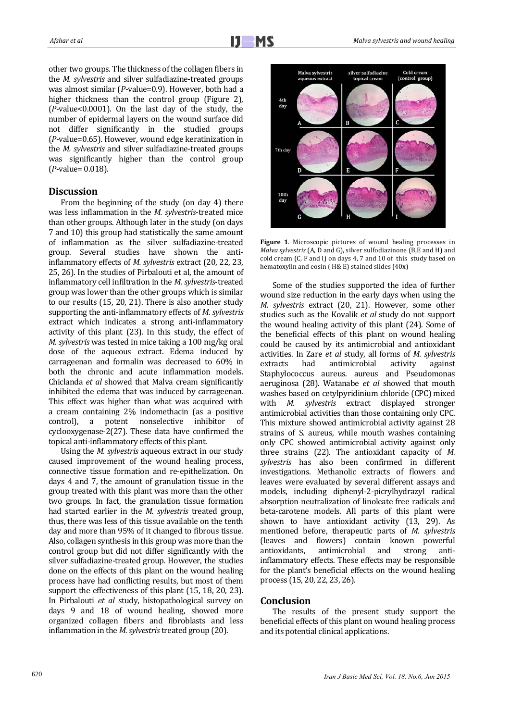other two groups. The thickness of the collagen fibers in the *M. sylvestris* and silver sulfadiazine-treated groups was almost similar (*P*-value=0.9). However, both had a higher thickness than the control group (Figure 2),  $(P$ -value< $0.0001$ ). On the last day of the study, the number of epidermal layers on the wound surface did not differ significantly in the studied groups (*P*-value=0.65). However, wound edge keratinization in the *M. sylvestris* and silver sulfadiazine-treated groups was significantly higher than the control group (*P*‐value= 0.018). 

# Discussion

From the beginning of the study (on day 4) there was less inflammation in the *M. sylvestris*-treated mice than other groups. Although later in the study (on days 7 and 10) this group had statistically the same amount of inflammation as the silver sulfadiazine-treated group. Several studies have shown the antiinflammatory effects of *M. sylvestris* extract (20, 22, 23, 25, 26). In the studies of Pirbalouti et al, the amount of inflammatory cell infiltration in the *M. sylvestris*-treated group was lower than the other groups which is similar to our results  $(15, 20, 21)$ . There is also another study supporting the anti-inflammatory effects of *M. sylvestris* extract which indicates a strong anti-inflammatory activity of this plant  $(23)$ . In this study, the effect of *M. sylvestris* was tested in mice taking a 100 mg/kg oral dose of the aqueous extract. Edema induced by carrageenan and formalin was decreased to 60% in both the chronic and acute inflammation models. Chiclanda *et al* showed that Malva cream significantly inhibited the edema that was induced by carrageenan. This effect was higher than what was acquired with  $W$ . a cream containing 2% indomethacin (as a positive control), a potent nonselective inhibitor of  $cyclooxygenase-2(27)$ . These data have confirmed the topical anti-inflammatory effects of this plant.

Using the *M. sylvestris* aqueous extract in our study caused improvement of the wound healing process, connective tissue formation and re-epithelization. On days 4 and 7, the amount of granulation tissue in the group treated with this plant was more than the other two groups. In fact, the granulation tissue formation had started earlier in the *M. sylvestris* treated group, thus, there was less of this tissue available on the tenth day and more than 95% of it changed to fibrous tissue. Also, collagen synthesis in this group was more than the control group but did not differ significantly with the silver sulfadiazine-treated group. However, the studies done on the effects of this plant on the wound healing process have had conflicting results, but most of them support the effectiveness of this plant  $(15, 18, 20, 23)$ . In Pirbalouti *et al* study, histopathological survey on days 9 and 18 of wound healing, showed more organized collagen fibers and fibroblasts and less inflammation in the *M. sylvestris* treated group (20).



Figure 1. Microscopic pictures of wound healing processes in *Malva sylvestris* (A, D and G), silver sulfodiazinone (B,E and H) and cold cream (C, F and I) on days 4, 7 and 10 of this study based on hematoxylin and eosin ( $H&E$ ) stained slides ( $40x$ )

Some of the studies supported the idea of further wound size reduction in the early days when using the *M. sylvestris* extract (20, 21). However, some other studies such as the Kovalik *et al* study do not support the wound healing activity of this plant  $(24)$ . Some of the beneficial effects of this plant on wound healing could be caused by its antimicrobial and antioxidant activities. In Zare *et al* study, all forms of *M. sylvestris* extracts had antimicrobial activity against Staphylococcus aureus. aureus and Pseudomonas aeruginosa (28). Watanabe *et al* showed that mouth washes based on cetylpyridinium chloride (CPC) mixed sylvestris extract displayed stronger antimicrobial activities than those containing only CPC. This mixture showed antimicrobial activity against 28 strains of S. aureus, while mouth washes containing only CPC showed antimicrobial activity against only three strains  $(22)$ . The antioxidant capacity of *M. sylvestris* has also been confirmed in different investigations. Methanolic extracts of flowers and leaves were evaluated by several different assays and models, including diphenyl-2-picrylhydrazyl radical absorption neutralization of linoleate free radicals and beta-carotene models. All parts of this plant were shown to have antioxidant activity (13, 29). As mentioned before, therapeutic parts of *M. sylvestris* (leaves and flowers) contain known powerful antioxidants, antimicrobial and strong antiinflammatory effects. These effects may be responsible for the plant's beneficial effects on the wound healing process (15, 20, 22, 23, 26).

# **Conclusion**

The results of the present study support the beneficial effects of this plant on wound healing process and its potential clinical applications.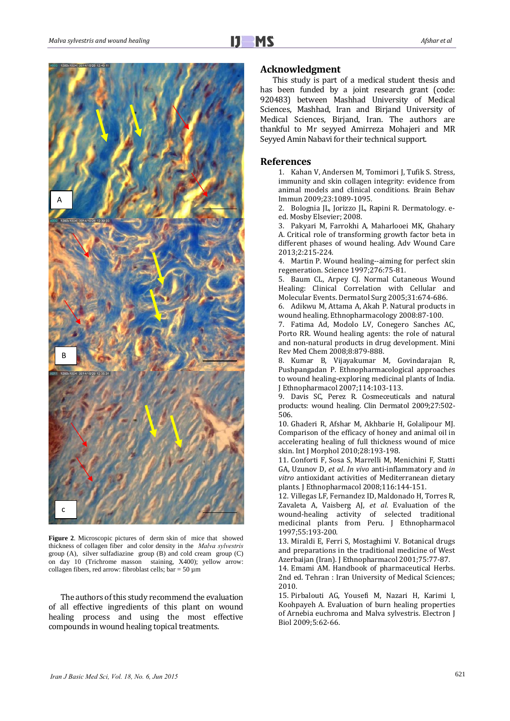

**Figure 2**. Microscopic pictures of derm skin of mice that showed thickness of collagen fiber and color density in the *Malva sylvestris* group (A), silver sulfadiazine group (B) and cold cream group (C) on day 10 (Trichrome masson staining, X400); yellow arrow: collagen fibers, red arrow: fibroblast cells; bar =  $50 \mu m$ 

The authors of this study recommend the evaluation of all effective ingredients of this plant on wound healing process and using the most effective compounds in wound healing topical treatments.

## **Acknowledgment**

This study is part of a medical student thesis and has been funded by a joint research grant (code: 920483) between Mashhad University of Medical Sciences, Mashhad, Iran and Birjand University of Medical Sciences, Birjand, Iran. The authors are thankful to Mr seyyed Amirreza Mohajeri and MR Seyyed Amin Nabavi for their technical support.

# **References**

1. Kahan V, Andersen M, Tomimori J, Tufik S. Stress, immunity and skin collagen integrity: evidence from animal models and clinical conditions. Brain Behav Immun 2009;23:1089‐1095. 

2. Bolognia JL, Jorizzo JL, Rapini R. Dermatology. eed. Mosby Elsevier; 2008.

3. Pakyari M, Farrokhi A, Maharlooei MK, Ghahary A. Critical role of transforming growth factor beta in different phases of wound healing. Adv Wound Care 2013;2:215‐224. 

4. Martin P. Wound healing--aiming for perfect skin regeneration. Science 1997;276:75-81.

5. Baum CL, Arpey CJ. Normal Cutaneous Wound Healing: Clinical Correlation with Cellular and Molecular Events. Dermatol Surg 2005;31:674-686.

6. Adikwu M, Attama A, Akah P. Natural products in wound healing. Ethnopharmacology 2008:87-100.

7. Fatima Ad, Modolo LV, Conegero Sanches AC, Porto RR. Wound healing agents: the role of natural and non-natural products in drug development. Mini Rev Med Chem 2008;8:879‐888. 

8. Kumar B, Vijayakumar M, Govindarajan R, Pushpangadan P. Ethnopharmacological approaches to wound healing-exploring medicinal plants of India. J Ethnopharmacol 2007;114:103‐113. 

9. Davis SC, Perez R. Cosmeceuticals and natural products: wound healing. Clin Dermatol 2009;27:502-506. 

10. Ghaderi R, Afshar M, Akhbarie H, Golalipour MJ. Comparison of the efficacy of honey and animal oil in accelerating healing of full thickness wound of mice skin. Int J Morphol 2010;28:193-198.

11. Conforti F, Sosa S, Marrelli M, Menichini F, Statti GA, Uzunov D, et al. In vivo anti-inflammatory and in vitro antioxidant activities of Mediterranean dietary plants. J Ethnopharmacol 2008;116:144-151.

12. Villegas LF, Fernandez ID, Maldonado H, Torres R, Zavaleta A, Vaisberg AJ, et al. Evaluation of the wound-healing activity of selected traditional medicinal plants from Peru. J Ethnopharmacol 1997;55:193‐200. 

13. Miraldi E, Ferri S, Mostaghimi V. Botanical drugs and preparations in the traditional medicine of West Azerbaijan (Iran). J Ethnopharmacol 2001;75:77-87.

14. Emami AM. Handbook of pharmaceutical Herbs. 2nd ed. Tehran : Iran University of Medical Sciences: 2010. 

15. Pirbalouti AG, Yousefi M, Nazari H, Karimi I, Koohpayeh A. Evaluation of burn healing properties of Arnebia euchroma and Malva sylvestris. Electron J Biol 2009;5:62‐66.